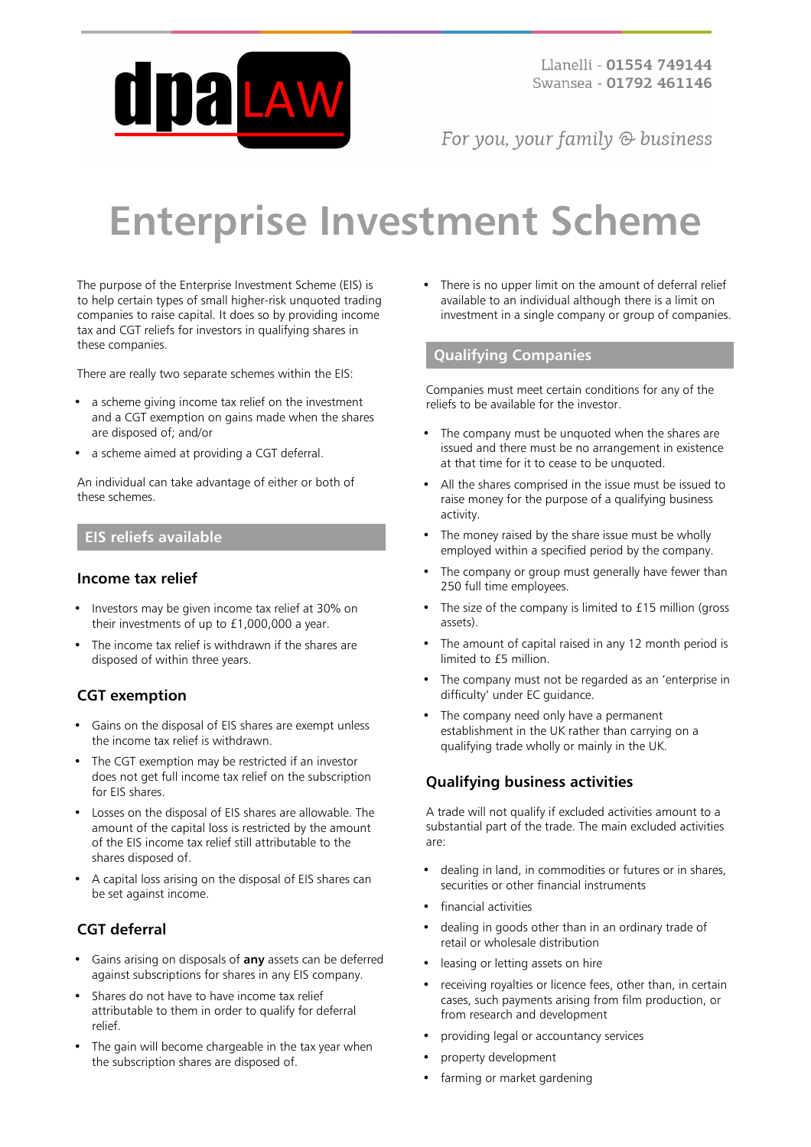

For you, your family  $\odot$  business

# **Enterprise Investment Scheme**

The purpose of the Enterprise Investment Scheme (EIS) is to help certain types of small higher-risk unquoted trading companies to raise capital. It does so by providing income tax and CGT reliefs for investors in qualifying shares in these companies.

There are really two separate schemes within the EIS:

- a scheme giving income tax relief on the investment and a CGT exemption on gains made when the shares are disposed of; and/or
- a scheme aimed at providing a CGT deferral.

An individual can take advantage of either or both of these schemes.

#### **EIS reliefs available**

#### **Income tax relief**

- Investors may be given income tax relief at 30% on their investments of up to £1,000,000 a year.
- The income tax relief is withdrawn if the shares are disposed of within three years.

## **CGT exemption**

- Gains on the disposal of EIS shares are exempt unless the income tax relief is withdrawn.
- The CGT exemption may be restricted if an investor does not get full income tax relief on the subscription for EIS shares.
- Losses on the disposal of EIS shares are allowable. The amount of the capital loss is restricted by the amount of the EIS income tax relief still attributable to the shares disposed of.
- A capital loss arising on the disposal of EIS shares can be set against income.

## **CGT deferral**

- Gains arising on disposals of **any** assets can be deferred against subscriptions for shares in any EIS company.
- Shares do not have to have income tax relief attributable to them in order to qualify for deferral relief.
- The gain will become chargeable in the tax year when the subscription shares are disposed of.

There is no upper limit on the amount of deferral relief available to an individual although there is a limit on investment in a single company or group of companies.

### **Qualifying Companies**

Companies must meet certain conditions for any of the reliefs to be available for the investor.

- The company must be unquoted when the shares are issued and there must be no arrangement in existence at that time for it to cease to be unquoted.
- All the shares comprised in the issue must be issued to raise money for the purpose of a qualifying business activity.
- The money raised by the share issue must be wholly employed within a specified period by the company.
- The company or group must generally have fewer than 250 full time employees.
- The size of the company is limited to £15 million (gross assets).
- The amount of capital raised in any 12 month period is limited to £5 million.
- The company must not be regarded as an 'enterprise in difficulty' under EC guidance.
- The company need only have a permanent establishment in the UK rather than carrying on a qualifying trade wholly or mainly in the UK.

## **Qualifying business activities**

A trade will not qualify if excluded activities amount to a substantial part of the trade. The main excluded activities are:

- dealing in land, in commodities or futures or in shares, securities or other financial instruments
- financial activities
- dealing in goods other than in an ordinary trade of retail or wholesale distribution
- leasing or letting assets on hire
- receiving royalties or licence fees, other than, in certain cases, such payments arising from film production, or from research and development
- providing legal or accountancy services
- property development
- farming or market gardening